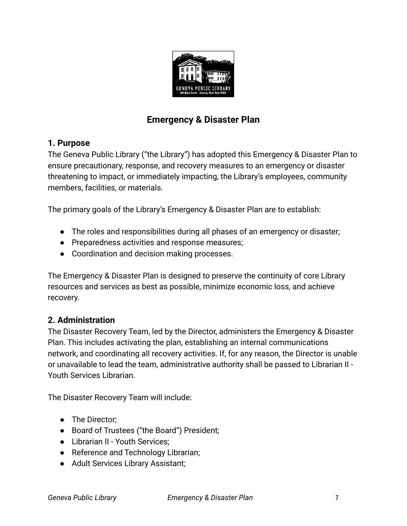

# **Emergency & Disaster Plan**

# **1. Purpose**

The Geneva Public Library ("the Library") has adopted this Emergency & Disaster Plan to ensure precautionary, response, and recovery measures to an emergency or disaster threatening to impact, or immediately impacting, the Library's employees, community members, facilities, or materials.

The primary goals of the Library's Emergency & Disaster Plan are to establish:

- The roles and responsibilities during all phases of an emergency or disaster;
- Preparedness activities and response measures;
- Coordination and decision making processes.

The Emergency & Disaster Plan is designed to preserve the continuity of core Library resources and services as best as possible, minimize economic loss, and achieve recovery.

# **2. Administration**

The Disaster Recovery Team, led by the Director, administers the Emergency & Disaster Plan. This includes activating the plan, establishing an internal communications network, and coordinating all recovery activities. If, for any reason, the Director is unable or unavailable to lead the team, administrative authority shall be passed to Librarian II - Youth Services Librarian.

The Disaster Recovery Team will include:

- The Director:
- Board of Trustees ("the Board") President;
- Librarian II Youth Services;
- Reference and Technology Librarian;
- Adult Services Library Assistant;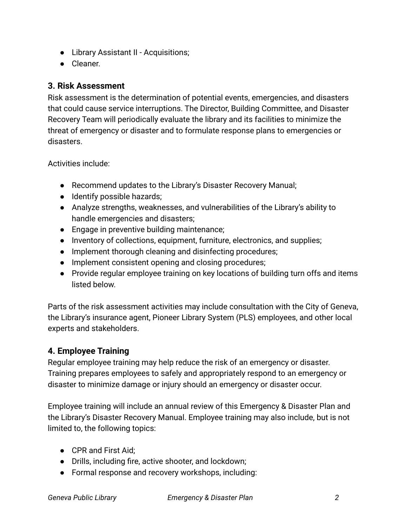- Library Assistant II Acquisitions;
- Cleaner.

# **3. Risk Assessment**

Risk assessment is the determination of potential events, emergencies, and disasters that could cause service interruptions. The Director, Building Committee, and Disaster Recovery Team will periodically evaluate the library and its facilities to minimize the threat of emergency or disaster and to formulate response plans to emergencies or disasters.

Activities include:

- Recommend updates to the Library's Disaster Recovery Manual;
- Identify possible hazards;
- Analyze strengths, weaknesses, and vulnerabilities of the Library's ability to handle emergencies and disasters;
- Engage in preventive building maintenance;
- Inventory of collections, equipment, furniture, electronics, and supplies;
- Implement thorough cleaning and disinfecting procedures;
- Implement consistent opening and closing procedures;
- Provide regular employee training on key locations of building turn offs and items listed below.

Parts of the risk assessment activities may include consultation with the City of Geneva, the Library's insurance agent, Pioneer Library System (PLS) employees, and other local experts and stakeholders.

# **4. Employee Training**

Regular employee training may help reduce the risk of an emergency or disaster. Training prepares employees to safely and appropriately respond to an emergency or disaster to minimize damage or injury should an emergency or disaster occur.

Employee training will include an annual review of this Emergency & Disaster Plan and the Library's Disaster Recovery Manual. Employee training may also include, but is not limited to, the following topics:

- CPR and First Aid:
- Drills, including fire, active shooter, and lockdown;
- Formal response and recovery workshops, including: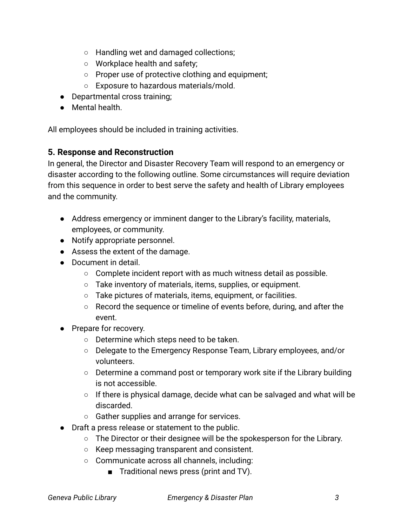- Handling wet and damaged collections;
- Workplace health and safety;
- Proper use of protective clothing and equipment;
- Exposure to hazardous materials/mold.
- Departmental cross training;
- Mental health.

All employees should be included in training activities.

#### **5. Response and Reconstruction**

In general, the Director and Disaster Recovery Team will respond to an emergency or disaster according to the following outline. Some circumstances will require deviation from this sequence in order to best serve the safety and health of Library employees and the community.

- Address emergency or imminent danger to the Library's facility, materials, employees, or community.
- Notify appropriate personnel.
- Assess the extent of the damage.
- Document in detail.
	- $\circ$  Complete incident report with as much witness detail as possible.
	- Take inventory of materials, items, supplies, or equipment.
	- Take pictures of materials, items, equipment, or facilities.
	- Record the sequence or timeline of events before, during, and after the event.
- Prepare for recovery.
	- Determine which steps need to be taken.
	- Delegate to the Emergency Response Team, Library employees, and/or volunteers.
	- Determine a command post or temporary work site if the Library building is not accessible.
	- $\circ$  If there is physical damage, decide what can be salvaged and what will be discarded.
	- Gather supplies and arrange for services.
- Draft a press release or statement to the public.
	- The Director or their designee will be the spokesperson for the Library.
	- Keep messaging transparent and consistent.
	- Communicate across all channels, including:
		- Traditional news press (print and TV).